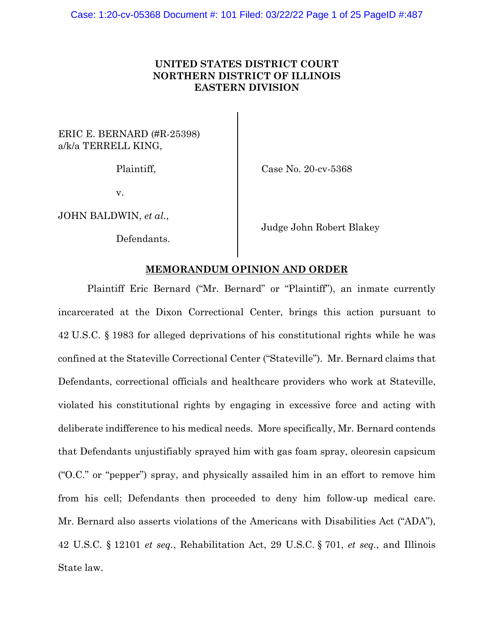# **UNITED STATES DISTRICT COURT NORTHERN DISTRICT OF ILLINOIS EASTERN DIVISION**

# ERIC E. BERNARD (#R-25398) a/k/a TERRELL KING,

v.

JOHN BALDWIN, *et al.*,

Defendants.

Plaintiff, Case No. 20-cv-5368

Judge John Robert Blakey

# **MEMORANDUM OPINION AND ORDER**

Plaintiff Eric Bernard ("Mr. Bernard" or "Plaintiff"), an inmate currently incarcerated at the Dixon Correctional Center, brings this action pursuant to 42 U.S.C. § 1983 for alleged deprivations of his constitutional rights while he was confined at the Stateville Correctional Center ("Stateville"). Mr. Bernard claims that Defendants, correctional officials and healthcare providers who work at Stateville, violated his constitutional rights by engaging in excessive force and acting with deliberate indifference to his medical needs. More specifically, Mr. Bernard contends that Defendants unjustifiably sprayed him with gas foam spray, oleoresin capsicum ("O.C." or "pepper") spray, and physically assailed him in an effort to remove him from his cell; Defendants then proceeded to deny him follow-up medical care. Mr. Bernard also asserts violations of the Americans with Disabilities Act ("ADA"), 42 U.S.C. § 12101 *et seq.*, Rehabilitation Act, 29 U.S.C. § 701, *et seq.*, and Illinois State law.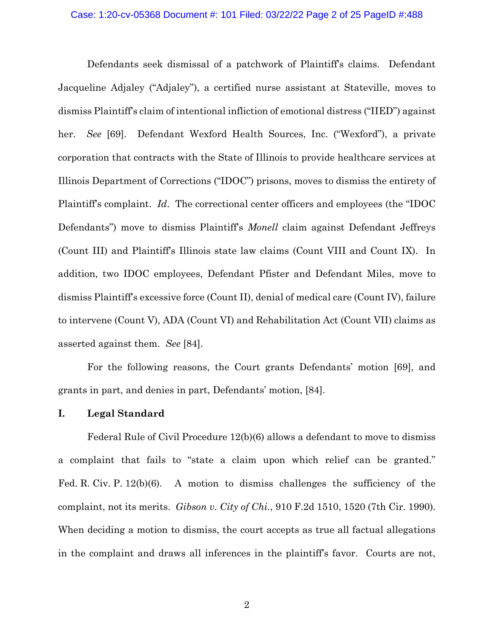# Case: 1:20-cv-05368 Document #: 101 Filed: 03/22/22 Page 2 of 25 PageID #:488

Defendants seek dismissal of a patchwork of Plaintiff's claims. Defendant Jacqueline Adjaley ("Adjaley"), a certified nurse assistant at Stateville, moves to dismiss Plaintiff's claim of intentional infliction of emotional distress ("IIED") against her. *See* [69]. Defendant Wexford Health Sources, Inc. ("Wexford"), a private corporation that contracts with the State of Illinois to provide healthcare services at Illinois Department of Corrections ("IDOC") prisons, moves to dismiss the entirety of Plaintiff's complaint. *Id*. The correctional center officers and employees (the "IDOC Defendants") move to dismiss Plaintiff's *Monell* claim against Defendant Jeffreys (Count III) and Plaintiff's Illinois state law claims (Count VIII and Count IX). In addition, two IDOC employees, Defendant Pfister and Defendant Miles, move to dismiss Plaintiff's excessive force (Count II), denial of medical care (Count IV), failure to intervene (Count V), ADA (Count VI) and Rehabilitation Act (Count VII) claims as asserted against them. *See* [84].

For the following reasons, the Court grants Defendants' motion [69], and grants in part, and denies in part, Defendants' motion, [84].

# **I. Legal Standard**

Federal Rule of Civil Procedure 12(b)(6) allows a defendant to move to dismiss a complaint that fails to "state a claim upon which relief can be granted." Fed. R. Civ. P. 12(b)(6). A motion to dismiss challenges the sufficiency of the complaint, not its merits. *Gibson v. City of Chi.*, 910 F.2d 1510, 1520 (7th Cir. 1990). When deciding a motion to dismiss, the court accepts as true all factual allegations in the complaint and draws all inferences in the plaintiff's favor. Courts are not,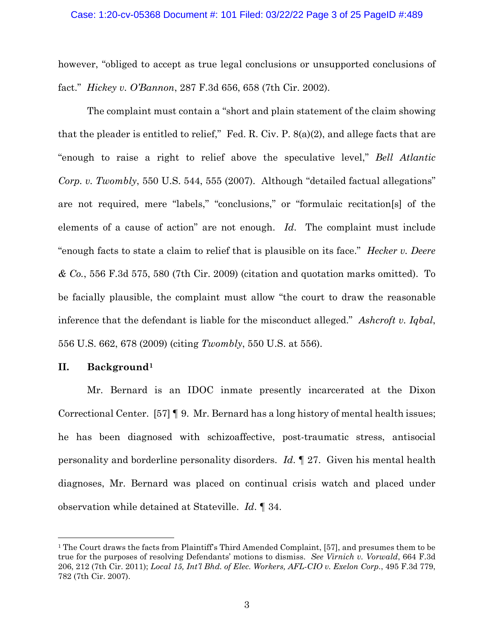#### Case: 1:20-cv-05368 Document #: 101 Filed: 03/22/22 Page 3 of 25 PageID #:489

however, "obliged to accept as true legal conclusions or unsupported conclusions of fact." *Hickey v. O'Bannon*, 287 F.3d 656, 658 (7th Cir. 2002).

The complaint must contain a "short and plain statement of the claim showing that the pleader is entitled to relief," Fed. R. Civ. P. 8(a)(2), and allege facts that are "enough to raise a right to relief above the speculative level," *Bell Atlantic Corp. v. Twombly*, 550 U.S. 544, 555 (2007). Although "detailed factual allegations" are not required, mere "labels," "conclusions," or "formulaic recitation[s] of the elements of a cause of action" are not enough. *Id*. The complaint must include "enough facts to state a claim to relief that is plausible on its face." *Hecker v. Deere & Co.*, 556 F.3d 575, 580 (7th Cir. 2009) (citation and quotation marks omitted). To be facially plausible, the complaint must allow "the court to draw the reasonable inference that the defendant is liable for the misconduct alleged." *Ashcroft v. Iqbal*, 556 U.S. 662, 678 (2009) (citing *Twombly*, 550 U.S. at 556).

## **II. Background[1](#page-2-0)**

Mr. Bernard is an IDOC inmate presently incarcerated at the Dixon Correctional Center. [57] ¶ 9. Mr. Bernard has a long history of mental health issues; he has been diagnosed with schizoaffective, post-traumatic stress, antisocial personality and borderline personality disorders. *Id*. ¶ 27. Given his mental health diagnoses, Mr. Bernard was placed on continual crisis watch and placed under observation while detained at Stateville. *Id*. ¶ 34.

<span id="page-2-0"></span><sup>&</sup>lt;sup>1</sup> The Court draws the facts from Plaintiff's Third Amended Complaint, [57], and presumes them to be true for the purposes of resolving Defendants' motions to dismiss. *See Virnich v. Vorwald*, 664 F.3d 206, 212 (7th Cir. 2011); *Local 15, Int'l Bhd. of Elec. Workers, AFL-CIO v. Exelon Corp.*, 495 F.3d 779, 782 (7th Cir. 2007).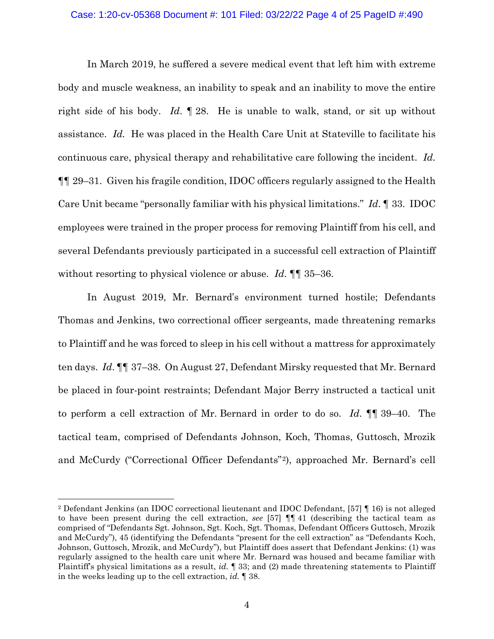#### Case: 1:20-cv-05368 Document #: 101 Filed: 03/22/22 Page 4 of 25 PageID #:490

In March 2019, he suffered a severe medical event that left him with extreme body and muscle weakness, an inability to speak and an inability to move the entire right side of his body. *Id*. ¶ 28. He is unable to walk, stand, or sit up without assistance. *Id.* He was placed in the Health Care Unit at Stateville to facilitate his continuous care, physical therapy and rehabilitative care following the incident. *Id.* ¶¶ 29–31. Given his fragile condition, IDOC officers regularly assigned to the Health Care Unit became "personally familiar with his physical limitations." *Id*. ¶ 33. IDOC employees were trained in the proper process for removing Plaintiff from his cell, and several Defendants previously participated in a successful cell extraction of Plaintiff without resorting to physical violence or abuse. *Id*. ¶¶ 35–36.

In August 2019, Mr. Bernard's environment turned hostile; Defendants Thomas and Jenkins, two correctional officer sergeants, made threatening remarks to Plaintiff and he was forced to sleep in his cell without a mattress for approximately ten days. *Id*. ¶¶ 37–38. On August 27, Defendant Mirsky requested that Mr. Bernard be placed in four-point restraints; Defendant Major Berry instructed a tactical unit to perform a cell extraction of Mr. Bernard in order to do so. *Id*. ¶¶ 39–40. The tactical team, comprised of Defendants Johnson, Koch, Thomas, Guttosch, Mrozik and McCurdy ("Correctional Officer Defendants"[2](#page-3-0)), approached Mr. Bernard's cell

<span id="page-3-0"></span><sup>2</sup> Defendant Jenkins (an IDOC correctional lieutenant and IDOC Defendant, [57] ¶ 16) is not alleged to have been present during the cell extraction, *see* [57] ¶¶ 41 (describing the tactical team as comprised of "Defendants Sgt. Johnson, Sgt. Koch, Sgt. Thomas, Defendant Officers Guttosch, Mrozik and McCurdy"), 45 (identifying the Defendants "present for the cell extraction" as "Defendants Koch, Johnson, Guttosch, Mrozik, and McCurdy"), but Plaintiff does assert that Defendant Jenkins: (1) was regularly assigned to the health care unit where Mr. Bernard was housed and became familiar with Plaintiff's physical limitations as a result, *id.* ¶ 33; and (2) made threatening statements to Plaintiff in the weeks leading up to the cell extraction, *id.* ¶ 38.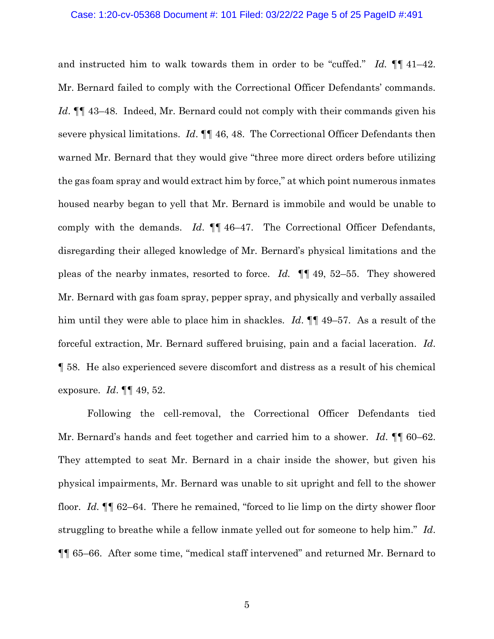#### Case: 1:20-cv-05368 Document #: 101 Filed: 03/22/22 Page 5 of 25 PageID #:491

and instructed him to walk towards them in order to be "cuffed." *Id.* ¶¶ 41–42. Mr. Bernard failed to comply with the Correctional Officer Defendants' commands. *Id*. ¶¶ 43–48. Indeed, Mr. Bernard could not comply with their commands given his severe physical limitations. *Id*. ¶¶ 46, 48. The Correctional Officer Defendants then warned Mr. Bernard that they would give "three more direct orders before utilizing the gas foam spray and would extract him by force," at which point numerous inmates housed nearby began to yell that Mr. Bernard is immobile and would be unable to comply with the demands. *Id*. ¶¶ 46–47. The Correctional Officer Defendants, disregarding their alleged knowledge of Mr. Bernard's physical limitations and the pleas of the nearby inmates, resorted to force. *Id.* ¶¶ 49, 52–55. They showered Mr. Bernard with gas foam spray, pepper spray, and physically and verbally assailed him until they were able to place him in shackles. *Id*. ¶¶ 49–57. As a result of the forceful extraction, Mr. Bernard suffered bruising, pain and a facial laceration. *Id*. ¶ 58. He also experienced severe discomfort and distress as a result of his chemical exposure. *Id*. ¶¶ 49, 52.

Following the cell-removal, the Correctional Officer Defendants tied Mr. Bernard's hands and feet together and carried him to a shower. *Id*. ¶¶ 60–62. They attempted to seat Mr. Bernard in a chair inside the shower, but given his physical impairments, Mr. Bernard was unable to sit upright and fell to the shower floor. *Id.* ¶¶ 62–64. There he remained, "forced to lie limp on the dirty shower floor struggling to breathe while a fellow inmate yelled out for someone to help him." *Id*. ¶¶ 65–66. After some time, "medical staff intervened" and returned Mr. Bernard to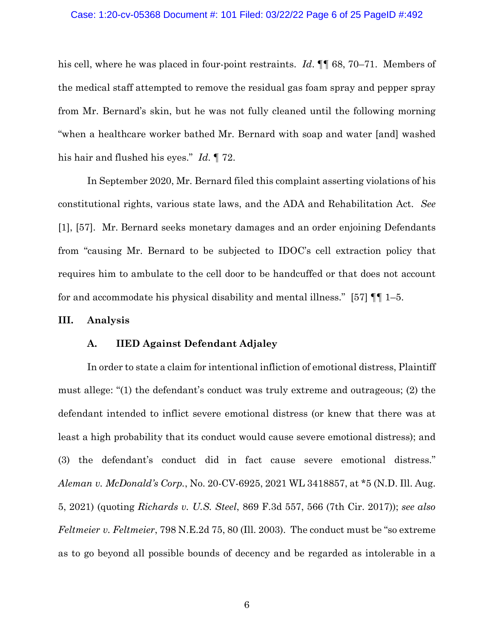#### Case: 1:20-cv-05368 Document #: 101 Filed: 03/22/22 Page 6 of 25 PageID #:492

his cell, where he was placed in four-point restraints. *Id*. ¶¶ 68, 70–71. Members of the medical staff attempted to remove the residual gas foam spray and pepper spray from Mr. Bernard's skin, but he was not fully cleaned until the following morning "when a healthcare worker bathed Mr. Bernard with soap and water [and] washed his hair and flushed his eyes." *Id*. ¶ 72.

In September 2020, Mr. Bernard filed this complaint asserting violations of his constitutional rights, various state laws, and the ADA and Rehabilitation Act. *See*  [1], [57]. Mr. Bernard seeks monetary damages and an order enjoining Defendants from "causing Mr. Bernard to be subjected to IDOC's cell extraction policy that requires him to ambulate to the cell door to be handcuffed or that does not account for and accommodate his physical disability and mental illness." [57] ¶¶ 1–5.

# **III. Analysis**

# **A. IIED Against Defendant Adjaley**

In order to state a claim for intentional infliction of emotional distress, Plaintiff must allege: "(1) the defendant's conduct was truly extreme and outrageous; (2) the defendant intended to inflict severe emotional distress (or knew that there was at least a high probability that its conduct would cause severe emotional distress); and (3) the defendant's conduct did in fact cause severe emotional distress." *Aleman v. McDonald's Corp.*, No. 20-CV-6925, 2021 WL 3418857, at \*5 (N.D. Ill. Aug. 5, 2021) (quoting *Richards v. U.S. Steel*, 869 F.3d 557, 566 (7th Cir. 2017)); *see also Feltmeier v. Feltmeier*, 798 N.E.2d 75, 80 (Ill. 2003). The conduct must be "so extreme as to go beyond all possible bounds of decency and be regarded as intolerable in a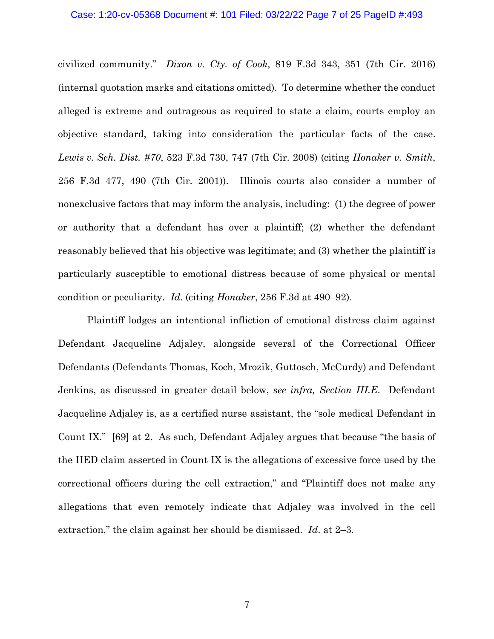### Case: 1:20-cv-05368 Document #: 101 Filed: 03/22/22 Page 7 of 25 PageID #:493

civilized community." *Dixon v. Cty. of Cook*, 819 F.3d 343, 351 (7th Cir. 2016) (internal quotation marks and citations omitted). To determine whether the conduct alleged is extreme and outrageous as required to state a claim, courts employ an objective standard, taking into consideration the particular facts of the case. *Lewis v. Sch. Dist. #70*, 523 F.3d 730, 747 (7th Cir. 2008) (citing *Honaker v. Smith*, 256 F.3d 477, 490 (7th Cir. 2001)). Illinois courts also consider a number of nonexclusive factors that may inform the analysis, including: (1) the degree of power or authority that a defendant has over a plaintiff; (2) whether the defendant reasonably believed that his objective was legitimate; and (3) whether the plaintiff is particularly susceptible to emotional distress because of some physical or mental condition or peculiarity. *Id*. (citing *Honaker*, 256 F.3d at 490–92).

Plaintiff lodges an intentional infliction of emotional distress claim against Defendant Jacqueline Adjaley, alongside several of the Correctional Officer Defendants (Defendants Thomas, Koch, Mrozik, Guttosch, McCurdy) and Defendant Jenkins, as discussed in greater detail below, *see infra, Section III.E*. Defendant Jacqueline Adjaley is, as a certified nurse assistant, the "sole medical Defendant in Count IX." [69] at 2. As such, Defendant Adjaley argues that because "the basis of the IIED claim asserted in Count IX is the allegations of excessive force used by the correctional officers during the cell extraction," and "Plaintiff does not make any allegations that even remotely indicate that Adjaley was involved in the cell extraction," the claim against her should be dismissed. *Id*. at 2–3.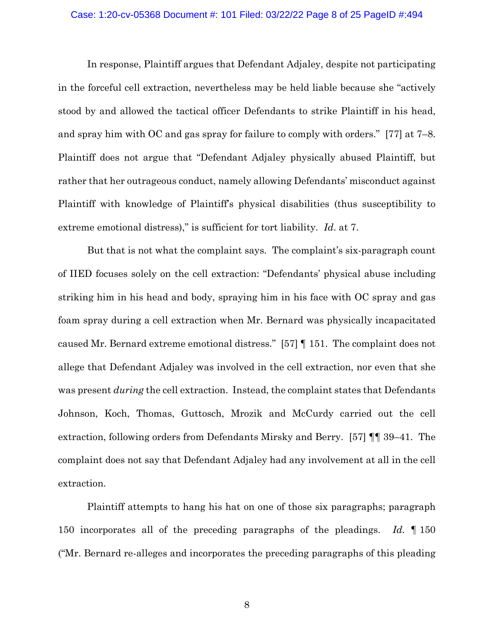### Case: 1:20-cv-05368 Document #: 101 Filed: 03/22/22 Page 8 of 25 PageID #:494

In response, Plaintiff argues that Defendant Adjaley, despite not participating in the forceful cell extraction, nevertheless may be held liable because she "actively stood by and allowed the tactical officer Defendants to strike Plaintiff in his head, and spray him with OC and gas spray for failure to comply with orders." [77] at 7–8. Plaintiff does not argue that "Defendant Adjaley physically abused Plaintiff, but rather that her outrageous conduct, namely allowing Defendants' misconduct against Plaintiff with knowledge of Plaintiff's physical disabilities (thus susceptibility to extreme emotional distress)," is sufficient for tort liability. *Id*. at 7.

But that is not what the complaint says. The complaint's six-paragraph count of IIED focuses solely on the cell extraction: "Defendants' physical abuse including striking him in his head and body, spraying him in his face with OC spray and gas foam spray during a cell extraction when Mr. Bernard was physically incapacitated caused Mr. Bernard extreme emotional distress." [57] ¶ 151. The complaint does not allege that Defendant Adjaley was involved in the cell extraction, nor even that she was present *during* the cell extraction. Instead, the complaint states that Defendants Johnson, Koch, Thomas, Guttosch, Mrozik and McCurdy carried out the cell extraction, following orders from Defendants Mirsky and Berry. [57] ¶¶ 39–41. The complaint does not say that Defendant Adjaley had any involvement at all in the cell extraction.

Plaintiff attempts to hang his hat on one of those six paragraphs; paragraph 150 incorporates all of the preceding paragraphs of the pleadings. *Id.* ¶ 150 ("Mr. Bernard re-alleges and incorporates the preceding paragraphs of this pleading

8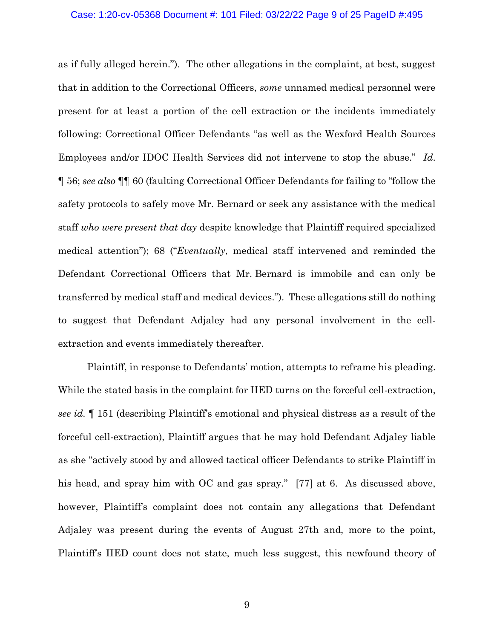#### Case: 1:20-cv-05368 Document #: 101 Filed: 03/22/22 Page 9 of 25 PageID #:495

as if fully alleged herein."). The other allegations in the complaint, at best, suggest that in addition to the Correctional Officers, *some* unnamed medical personnel were present for at least a portion of the cell extraction or the incidents immediately following: Correctional Officer Defendants "as well as the Wexford Health Sources Employees and/or IDOC Health Services did not intervene to stop the abuse." *Id*. ¶ 56; *see also* ¶¶ 60 (faulting Correctional Officer Defendants for failing to "follow the safety protocols to safely move Mr. Bernard or seek any assistance with the medical staff *who were present that day* despite knowledge that Plaintiff required specialized medical attention"); 68 ("*Eventually*, medical staff intervened and reminded the Defendant Correctional Officers that Mr. Bernard is immobile and can only be transferred by medical staff and medical devices."). These allegations still do nothing to suggest that Defendant Adjaley had any personal involvement in the cellextraction and events immediately thereafter.

Plaintiff, in response to Defendants' motion, attempts to reframe his pleading. While the stated basis in the complaint for IIED turns on the forceful cell-extraction, *see id.* ¶ 151 (describing Plaintiff's emotional and physical distress as a result of the forceful cell-extraction), Plaintiff argues that he may hold Defendant Adjaley liable as she "actively stood by and allowed tactical officer Defendants to strike Plaintiff in his head, and spray him with OC and gas spray." [77] at 6. As discussed above, however, Plaintiff's complaint does not contain any allegations that Defendant Adjaley was present during the events of August 27th and, more to the point, Plaintiff's IIED count does not state, much less suggest, this newfound theory of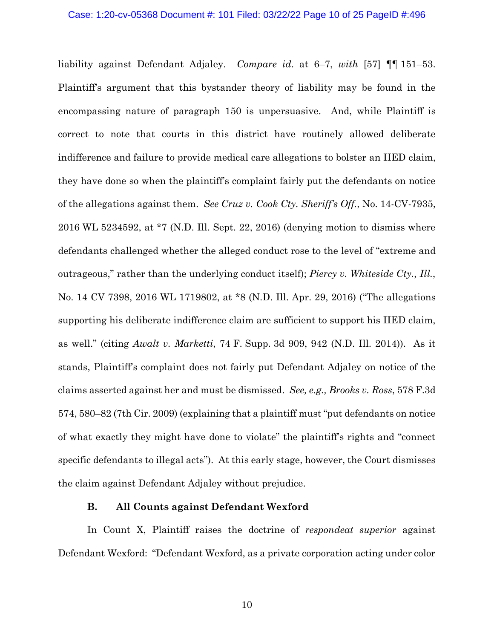#### Case: 1:20-cv-05368 Document #: 101 Filed: 03/22/22 Page 10 of 25 PageID #:496

liability against Defendant Adjaley. *Compare id*. at 6–7, *with* [57] ¶¶ 151–53. Plaintiff's argument that this bystander theory of liability may be found in the encompassing nature of paragraph 150 is unpersuasive. And, while Plaintiff is correct to note that courts in this district have routinely allowed deliberate indifference and failure to provide medical care allegations to bolster an IIED claim, they have done so when the plaintiff's complaint fairly put the defendants on notice of the allegations against them. *See Cruz v. Cook Cty. Sheriff's Off.*, No. 14-CV-7935, 2016 WL 5234592, at \*7 (N.D. Ill. Sept. 22, 2016) (denying motion to dismiss where defendants challenged whether the alleged conduct rose to the level of "extreme and outrageous," rather than the underlying conduct itself); *Piercy v. Whiteside Cty., Ill.*, No. 14 CV 7398, 2016 WL 1719802, at \*8 (N.D. Ill. Apr. 29, 2016) ("The allegations supporting his deliberate indifference claim are sufficient to support his IIED claim, as well." (citing *Awalt v. Marketti*, 74 F. Supp. 3d 909, 942 (N.D. Ill. 2014)). As it stands, Plaintiff's complaint does not fairly put Defendant Adjaley on notice of the claims asserted against her and must be dismissed. *See, e.g., Brooks v. Ross*, 578 F.3d 574, 580–82 (7th Cir. 2009) (explaining that a plaintiff must "put defendants on notice of what exactly they might have done to violate" the plaintiff's rights and "connect specific defendants to illegal acts"). At this early stage, however, the Court dismisses the claim against Defendant Adjaley without prejudice.

## **B. All Counts against Defendant Wexford**

In Count X, Plaintiff raises the doctrine of *respondeat superior* against Defendant Wexford: "Defendant Wexford, as a private corporation acting under color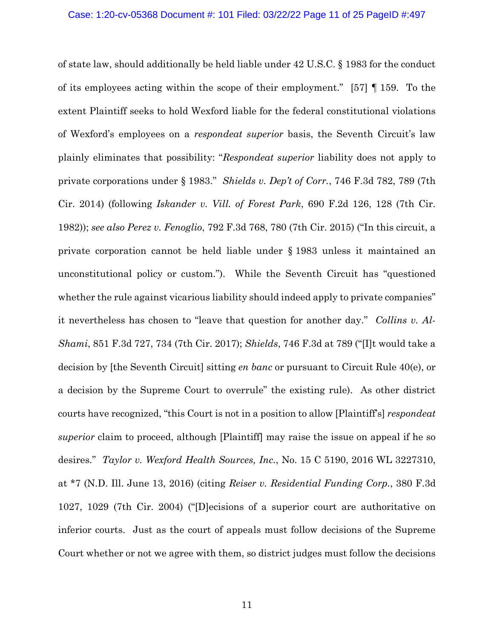of state law, should additionally be held liable under 42 U.S.C. § 1983 for the conduct of its employees acting within the scope of their employment." [57] ¶ 159. To the extent Plaintiff seeks to hold Wexford liable for the federal constitutional violations of Wexford's employees on a *respondeat superior* basis, the Seventh Circuit's law plainly eliminates that possibility: "*Respondeat superior* liability does not apply to private corporations under § 1983." *Shields v. Dep't of Corr.*, 746 F.3d 782, 789 (7th Cir. 2014) (following *Iskander v. Vill. of Forest Park*, 690 F.2d 126, 128 (7th Cir. 1982)); *see also Perez v. Fenoglio*, 792 F.3d 768, 780 (7th Cir. 2015) ("In this circuit, a private corporation cannot be held liable under § 1983 unless it maintained an unconstitutional policy or custom."). While the Seventh Circuit has "questioned whether the rule against vicarious liability should indeed apply to private companies" it nevertheless has chosen to "leave that question for another day." *Collins v. Al-Shami*, 851 F.3d 727, 734 (7th Cir. 2017); *Shields*, 746 F.3d at 789 ("[I]t would take a decision by [the Seventh Circuit] sitting *en banc* or pursuant to Circuit Rule 40(e), or a decision by the Supreme Court to overrule" the existing rule). As other district courts have recognized, "this Court is not in a position to allow [Plaintiff's] *respondeat superior* claim to proceed, although [Plaintiff] may raise the issue on appeal if he so desires." *Taylor v. Wexford Health Sources, Inc.*, No. 15 C 5190, 2016 WL 3227310, at \*7 (N.D. Ill. June 13, 2016) (citing *Reiser v. Residential Funding Corp.*, 380 F.3d 1027, 1029 (7th Cir. 2004) ("[D]ecisions of a superior court are authoritative on inferior courts. Just as the court of appeals must follow decisions of the Supreme Court whether or not we agree with them, so district judges must follow the decisions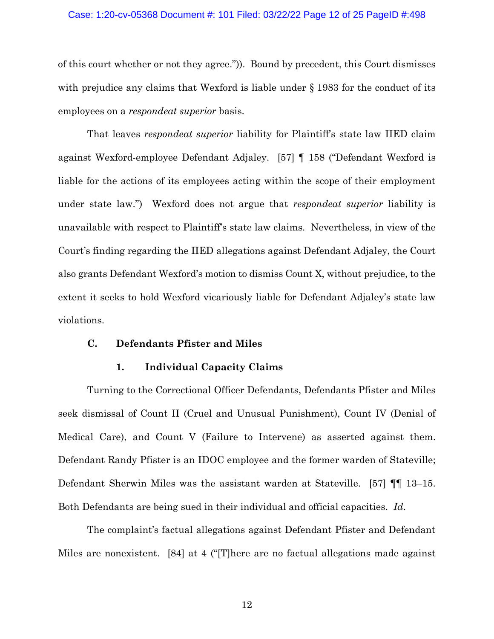#### Case: 1:20-cv-05368 Document #: 101 Filed: 03/22/22 Page 12 of 25 PageID #:498

of this court whether or not they agree.")). Bound by precedent, this Court dismisses with prejudice any claims that Wexford is liable under § 1983 for the conduct of its employees on a *respondeat superior* basis.

That leaves *respondeat superior* liability for Plaintiff's state law IIED claim against Wexford-employee Defendant Adjaley. [57] ¶ 158 ("Defendant Wexford is liable for the actions of its employees acting within the scope of their employment under state law.") Wexford does not argue that *respondeat superior* liability is unavailable with respect to Plaintiff's state law claims. Nevertheless, in view of the Court's finding regarding the IIED allegations against Defendant Adjaley, the Court also grants Defendant Wexford's motion to dismiss Count X, without prejudice, to the extent it seeks to hold Wexford vicariously liable for Defendant Adjaley's state law violations.

### **C. Defendants Pfister and Miles**

## **1. Individual Capacity Claims**

Turning to the Correctional Officer Defendants, Defendants Pfister and Miles seek dismissal of Count II (Cruel and Unusual Punishment), Count IV (Denial of Medical Care), and Count V (Failure to Intervene) as asserted against them. Defendant Randy Pfister is an IDOC employee and the former warden of Stateville; Defendant Sherwin Miles was the assistant warden at Stateville. [57] ¶¶ 13–15. Both Defendants are being sued in their individual and official capacities. *Id*.

The complaint's factual allegations against Defendant Pfister and Defendant Miles are nonexistent. [84] at 4 ("[T]here are no factual allegations made against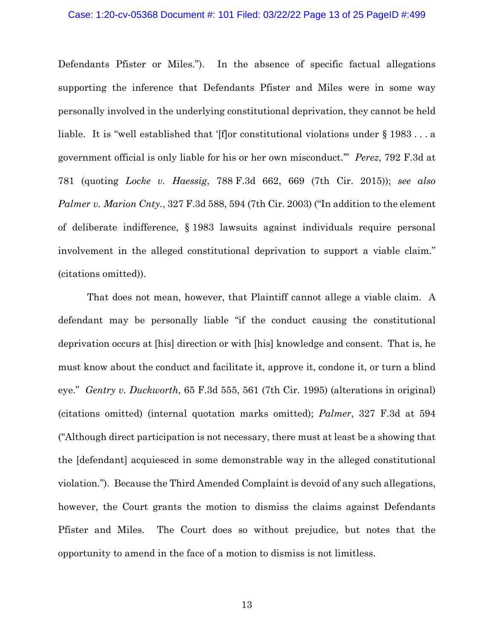### Case: 1:20-cv-05368 Document #: 101 Filed: 03/22/22 Page 13 of 25 PageID #:499

Defendants Pfister or Miles."). In the absence of specific factual allegations supporting the inference that Defendants Pfister and Miles were in some way personally involved in the underlying constitutional deprivation, they cannot be held liable. It is "well established that '[f]or constitutional violations under § 1983 . . . a government official is only liable for his or her own misconduct.'" *Perez*, 792 F.3d at 781 (quoting *Locke v. Haessig*, 788 F.3d 662, 669 (7th Cir. 2015)); *see also Palmer v. Marion Cnty.*, 327 F.3d 588, 594 (7th Cir. 2003) ("In addition to the element of deliberate indifference, § 1983 lawsuits against individuals require personal involvement in the alleged constitutional deprivation to support a viable claim." (citations omitted)).

That does not mean, however, that Plaintiff cannot allege a viable claim. A defendant may be personally liable "if the conduct causing the constitutional deprivation occurs at [his] direction or with [his] knowledge and consent. That is, he must know about the conduct and facilitate it, approve it, condone it, or turn a blind eye." *Gentry v. Duckworth*, 65 F.3d 555, 561 (7th Cir. 1995) (alterations in original) (citations omitted) (internal quotation marks omitted); *Palmer*, 327 F.3d at 594 ("Although direct participation is not necessary, there must at least be a showing that the [defendant] acquiesced in some demonstrable way in the alleged constitutional violation."). Because the Third Amended Complaint is devoid of any such allegations, however, the Court grants the motion to dismiss the claims against Defendants Pfister and Miles. The Court does so without prejudice, but notes that the opportunity to amend in the face of a motion to dismiss is not limitless.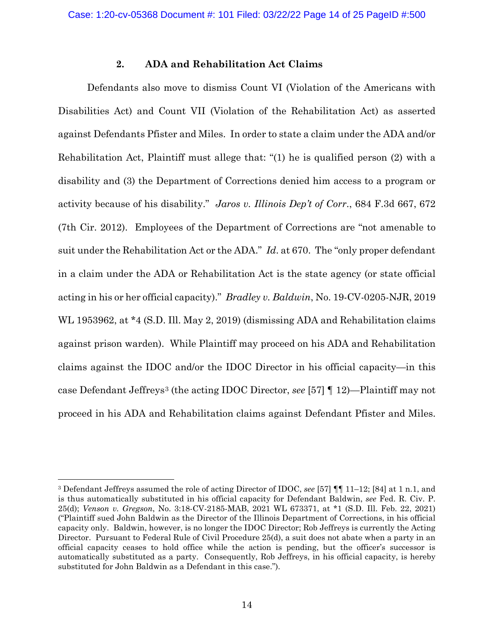# **2. ADA and Rehabilitation Act Claims**

Defendants also move to dismiss Count VI (Violation of the Americans with Disabilities Act) and Count VII (Violation of the Rehabilitation Act) as asserted against Defendants Pfister and Miles. In order to state a claim under the ADA and/or Rehabilitation Act, Plaintiff must allege that: "(1) he is qualified person (2) with a disability and (3) the Department of Corrections denied him access to a program or activity because of his disability." *Jaros v. Illinois Dep't of Corr*., 684 F.3d 667, 672 (7th Cir. 2012). Employees of the Department of Corrections are "not amenable to suit under the Rehabilitation Act or the ADA." *Id*. at 670. The "only proper defendant in a claim under the ADA or Rehabilitation Act is the state agency (or state official acting in his or her official capacity)." *Bradley v. Baldwin*, No. 19-CV-0205-NJR, 2019 WL 1953962, at \*4 (S.D. Ill. May 2, 2019) (dismissing ADA and Rehabilitation claims against prison warden). While Plaintiff may proceed on his ADA and Rehabilitation claims against the IDOC and/or the IDOC Director in his official capacity—in this case Defendant Jeffreys[3](#page-13-0) (the acting IDOC Director, *see* [57] ¶ 12)—Plaintiff may not proceed in his ADA and Rehabilitation claims against Defendant Pfister and Miles.

<span id="page-13-0"></span><sup>3</sup> Defendant Jeffreys assumed the role of acting Director of IDOC, *see* [57] ¶¶ 11–12; [84] at 1 n.1, and is thus automatically substituted in his official capacity for Defendant Baldwin, *see* Fed. R. Civ. P. 25(d); *Venson v. Gregson*, No. 3:18-CV-2185-MAB, 2021 WL 673371, at \*1 (S.D. Ill. Feb. 22, 2021) ("Plaintiff sued John Baldwin as the Director of the Illinois Department of Corrections, in his official capacity only. Baldwin, however, is no longer the IDOC Director; Rob Jeffreys is currently the Acting Director. Pursuant to Federal Rule of Civil Procedure 25(d), a suit does not abate when a party in an official capacity ceases to hold office while the action is pending, but the officer's successor is automatically substituted as a party. Consequently, Rob Jeffreys, in his official capacity, is hereby substituted for John Baldwin as a Defendant in this case.").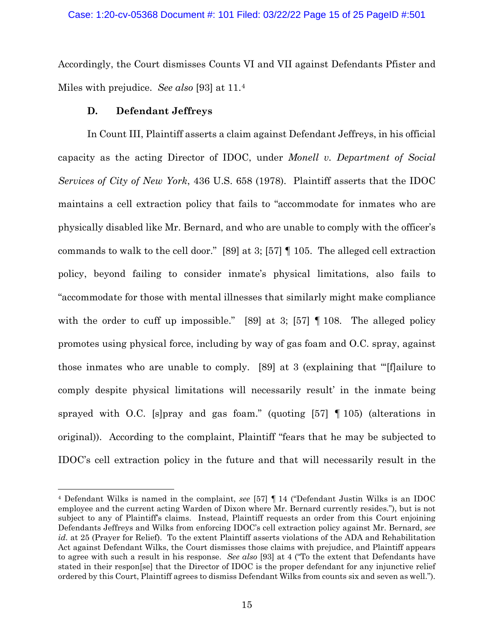Accordingly, the Court dismisses Counts VI and VII against Defendants Pfister and Miles with prejudice. *See also* [93] at 11[.4](#page-14-0)

# **D. Defendant Jeffreys**

In Count III, Plaintiff asserts a claim against Defendant Jeffreys, in his official capacity as the acting Director of IDOC, under *Monell v. Department of Social Services of City of New York*, 436 U.S. 658 (1978). Plaintiff asserts that the IDOC maintains a cell extraction policy that fails to "accommodate for inmates who are physically disabled like Mr. Bernard, and who are unable to comply with the officer's commands to walk to the cell door." [89] at 3; [57] ¶ 105. The alleged cell extraction policy, beyond failing to consider inmate's physical limitations, also fails to "accommodate for those with mental illnesses that similarly might make compliance with the order to cuff up impossible." [89] at 3; [57] **[108.** The alleged policy promotes using physical force, including by way of gas foam and O.C. spray, against those inmates who are unable to comply. [89] at 3 (explaining that "'[f]ailure to comply despite physical limitations will necessarily result' in the inmate being sprayed with O.C. [s]pray and gas foam." (quoting [57] ¶ 105) (alterations in original)). According to the complaint, Plaintiff "fears that he may be subjected to IDOC's cell extraction policy in the future and that will necessarily result in the

<span id="page-14-0"></span><sup>4</sup> Defendant Wilks is named in the complaint, *see* [57] ¶ 14 ("Defendant Justin Wilks is an IDOC employee and the current acting Warden of Dixon where Mr. Bernard currently resides."), but is not subject to any of Plaintiff's claims. Instead, Plaintiff requests an order from this Court enjoining Defendants Jeffreys and Wilks from enforcing IDOC's cell extraction policy against Mr. Bernard, *see id.* at 25 (Prayer for Relief). To the extent Plaintiff asserts violations of the ADA and Rehabilitation Act against Defendant Wilks, the Court dismisses those claims with prejudice, and Plaintiff appears to agree with such a result in his response. *See also* [93] at 4 ("To the extent that Defendants have stated in their respon[se] that the Director of IDOC is the proper defendant for any injunctive relief ordered by this Court, Plaintiff agrees to dismiss Defendant Wilks from counts six and seven as well.").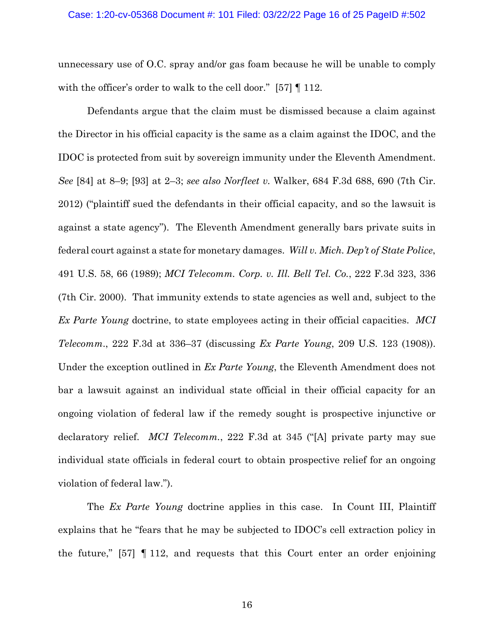#### Case: 1:20-cv-05368 Document #: 101 Filed: 03/22/22 Page 16 of 25 PageID #:502

unnecessary use of O.C. spray and/or gas foam because he will be unable to comply with the officer's order to walk to the cell door." [57]  $\llbracket$  112.

Defendants argue that the claim must be dismissed because a claim against the Director in his official capacity is the same as a claim against the IDOC, and the IDOC is protected from suit by sovereign immunity under the Eleventh Amendment. *See* [84] at 8–9; [93] at 2–3; *see also Norfleet v.* Walker, 684 F.3d 688, 690 (7th Cir. 2012) ("plaintiff sued the defendants in their official capacity, and so the lawsuit is against a state agency"). The Eleventh Amendment generally bars private suits in federal court against a state for monetary damages. *Will v. Mich. Dep't of State Police*, 491 U.S. 58, 66 (1989); *MCI Telecomm. Corp. v. Ill. Bell Tel. Co.*, 222 F.3d 323, 336 (7th Cir. 2000). That immunity extends to state agencies as well and, subject to the *Ex Parte Young* doctrine, to state employees acting in their official capacities. *MCI Telecomm*., 222 F.3d at 336–37 (discussing *Ex Parte Young*, 209 U.S. 123 (1908)). Under the exception outlined in *Ex Parte Young*, the Eleventh Amendment does not bar a lawsuit against an individual state official in their official capacity for an ongoing violation of federal law if the remedy sought is prospective injunctive or declaratory relief. *MCI Telecomm.*, 222 F.3d at 345 ("[A] private party may sue individual state officials in federal court to obtain prospective relief for an ongoing violation of federal law.").

The *Ex Parte Young* doctrine applies in this case. In Count III, Plaintiff explains that he "fears that he may be subjected to IDOC's cell extraction policy in the future," [57] ¶ 112, and requests that this Court enter an order enjoining

16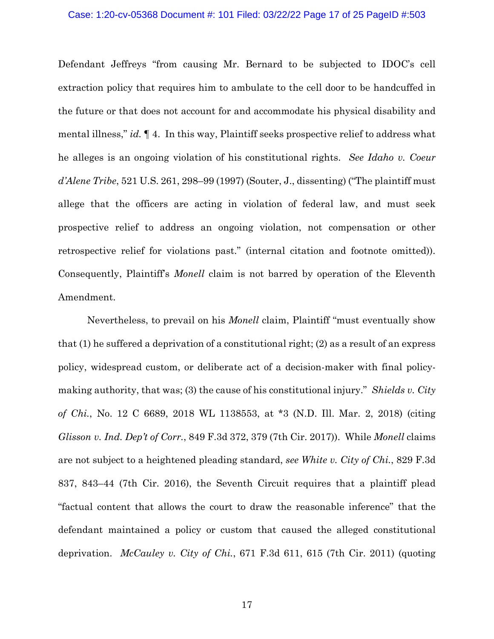### Case: 1:20-cv-05368 Document #: 101 Filed: 03/22/22 Page 17 of 25 PageID #:503

Defendant Jeffreys "from causing Mr. Bernard to be subjected to IDOC's cell extraction policy that requires him to ambulate to the cell door to be handcuffed in the future or that does not account for and accommodate his physical disability and mental illness," *id.* ¶ 4. In this way, Plaintiff seeks prospective relief to address what he alleges is an ongoing violation of his constitutional rights. *See Idaho v. Coeur d'Alene Tribe*, 521 U.S. 261, 298–99 (1997) (Souter, J., dissenting) ("The plaintiff must allege that the officers are acting in violation of federal law, and must seek prospective relief to address an ongoing violation, not compensation or other retrospective relief for violations past." (internal citation and footnote omitted)). Consequently, Plaintiff's *Monell* claim is not barred by operation of the Eleventh Amendment.

Nevertheless, to prevail on his *Monell* claim, Plaintiff "must eventually show that (1) he suffered a deprivation of a constitutional right; (2) as a result of an express policy, widespread custom, or deliberate act of a decision-maker with final policymaking authority, that was; (3) the cause of his constitutional injury." *Shields v. City of Chi.*, No. 12 C 6689, 2018 WL 1138553, at \*3 (N.D. Ill. Mar. 2, 2018) (citing *Glisson v. Ind. Dep't of Corr.*, 849 F.3d 372, 379 (7th Cir. 2017)). While *Monell* claims are not subject to a heightened pleading standard, *see White v. City of Chi.*, 829 F.3d 837, 843–44 (7th Cir. 2016), the Seventh Circuit requires that a plaintiff plead "factual content that allows the court to draw the reasonable inference" that the defendant maintained a policy or custom that caused the alleged constitutional deprivation. *McCauley v. City of Chi.*, 671 F.3d 611, 615 (7th Cir. 2011) (quoting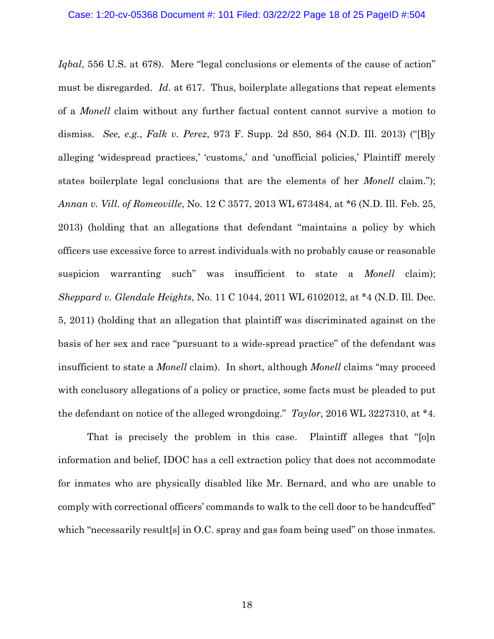*Iqbal*, 556 U.S. at 678). Mere "legal conclusions or elements of the cause of action" must be disregarded. *Id*. at 617. Thus, boilerplate allegations that repeat elements of a *Monell* claim without any further factual content cannot survive a motion to dismiss. *See, e.g.*, *Falk v. Perez*, 973 F. Supp. 2d 850, 864 (N.D. Ill. 2013) ("[B]y alleging 'widespread practices,' 'customs,' and 'unofficial policies,' Plaintiff merely states boilerplate legal conclusions that are the elements of her *Monell* claim."); *Annan v. Vill. of Romeoville*, No. 12 C 3577, 2013 WL 673484, at \*6 (N.D. Ill. Feb. 25, 2013) (holding that an allegations that defendant "maintains a policy by which officers use excessive force to arrest individuals with no probably cause or reasonable suspicion warranting such" was insufficient to state a *Monell* claim); *Sheppard v. Glendale Heights*, No. 11 C 1044, 2011 WL 6102012, at \*4 (N.D. Ill. Dec. 5, 2011) (holding that an allegation that plaintiff was discriminated against on the basis of her sex and race "pursuant to a wide-spread practice" of the defendant was insufficient to state a *Monell* claim). In short, although *Monell* claims "may proceed with conclusory allegations of a policy or practice, some facts must be pleaded to put the defendant on notice of the alleged wrongdoing." *Taylor*, 2016 WL 3227310, at \*4.

That is precisely the problem in this case. Plaintiff alleges that "[o]n information and belief, IDOC has a cell extraction policy that does not accommodate for inmates who are physically disabled like Mr. Bernard, and who are unable to comply with correctional officers' commands to walk to the cell door to be handcuffed" which "necessarily result [s] in O.C. spray and gas foam being used" on those inmates.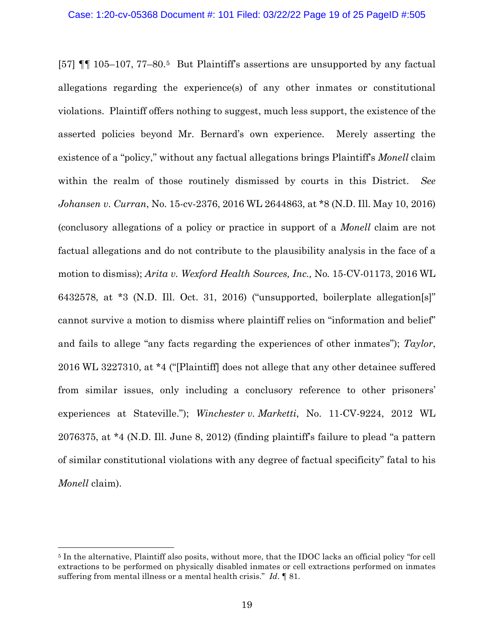[57] ¶¶ 105–107, 77–80.[5](#page-18-0) But Plaintiff's assertions are unsupported by any factual allegations regarding the experience(s) of any other inmates or constitutional violations. Plaintiff offers nothing to suggest, much less support, the existence of the asserted policies beyond Mr. Bernard's own experience. Merely asserting the existence of a "policy," without any factual allegations brings Plaintiff's *Monell* claim within the realm of those routinely dismissed by courts in this District. *See Johansen v. Curran*, No. 15-cv-2376, 2016 WL 2644863, at \*8 (N.D. Ill. May 10, 2016) (conclusory allegations of a policy or practice in support of a *Monell* claim are not factual allegations and do not contribute to the plausibility analysis in the face of a motion to dismiss); *Arita v. Wexford Health Sources, Inc.,* No*.* 15-CV-01173, 2016 WL 6432578, at \*3 (N.D. Ill. Oct. 31, 2016) ("unsupported, boilerplate allegation[s]" cannot survive a motion to dismiss where plaintiff relies on "information and belief" and fails to allege "any facts regarding the experiences of other inmates"); *Taylor*, 2016 WL 3227310, at \*4 ("[Plaintiff] does not allege that any other detainee suffered from similar issues, only including a conclusory reference to other prisoners' experiences at Stateville."); *Winchester v. Marketti*, No. 11-CV-9224, 2012 WL 2076375, at \*4 (N.D. Ill. June 8, 2012) (finding plaintiff's failure to plead "a pattern of similar constitutional violations with any degree of factual specificity" fatal to his *Monell* claim).

<span id="page-18-0"></span><sup>5</sup> In the alternative, Plaintiff also posits, without more, that the IDOC lacks an official policy "for cell extractions to be performed on physically disabled inmates or cell extractions performed on inmates suffering from mental illness or a mental health crisis." *Id*. ¶ 81.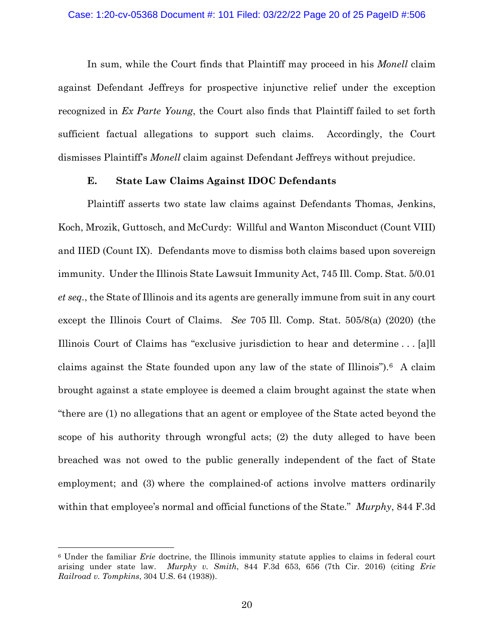In sum, while the Court finds that Plaintiff may proceed in his *Monell* claim against Defendant Jeffreys for prospective injunctive relief under the exception recognized in *Ex Parte Young*, the Court also finds that Plaintiff failed to set forth sufficient factual allegations to support such claims. Accordingly, the Court dismisses Plaintiff's *Monell* claim against Defendant Jeffreys without prejudice.

# **E. State Law Claims Against IDOC Defendants**

Plaintiff asserts two state law claims against Defendants Thomas, Jenkins, Koch, Mrozik, Guttosch, and McCurdy: Willful and Wanton Misconduct (Count VIII) and IIED (Count IX). Defendants move to dismiss both claims based upon sovereign immunity. Under the Illinois State Lawsuit Immunity Act, 745 Ill. Comp. Stat. 5/0.01 *et seq.*, the State of Illinois and its agents are generally immune from suit in any court except the Illinois Court of Claims. *See* 705 Ill. Comp. Stat. 505/8(a) (2020) (the Illinois Court of Claims has "exclusive jurisdiction to hear and determine . . . [a]ll claims against the State founded upon any law of the state of Illinois").[6](#page-19-0) A claim brought against a state employee is deemed a claim brought against the state when "there are (1) no allegations that an agent or employee of the State acted beyond the scope of his authority through wrongful acts; (2) the duty alleged to have been breached was not owed to the public generally independent of the fact of State employment; and (3) where the complained-of actions involve matters ordinarily within that employee's normal and official functions of the State." *Murphy*, 844 F.3d

<span id="page-19-0"></span><sup>6</sup> Under the familiar *Erie* doctrine, the Illinois immunity statute applies to claims in federal court arising under state law. *Murphy v. Smith*, 844 F.3d 653, 656 (7th Cir. 2016) (citing *Erie Railroad v. Tompkins*, 304 U.S. 64 (1938)).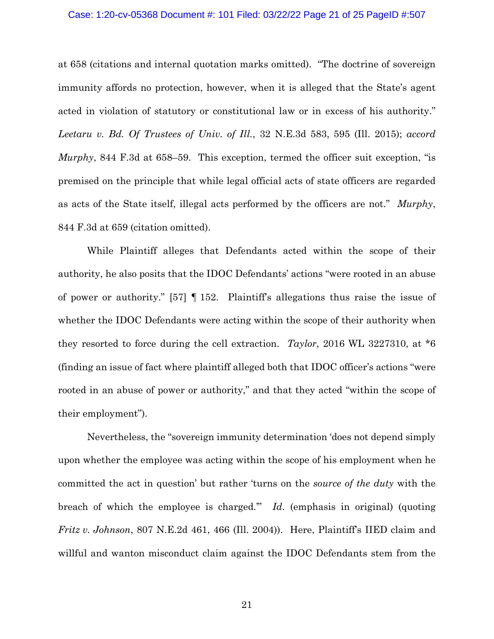# Case: 1:20-cv-05368 Document #: 101 Filed: 03/22/22 Page 21 of 25 PageID #:507

at 658 (citations and internal quotation marks omitted). "The doctrine of sovereign immunity affords no protection, however, when it is alleged that the State's agent acted in violation of statutory or constitutional law or in excess of his authority." *Leetaru v. Bd. Of Trustees of Univ. of Ill.*, 32 N.E.3d 583, 595 (Ill. 2015); *accord Murphy*, 844 F.3d at 658–59. This exception, termed the officer suit exception, "is premised on the principle that while legal official acts of state officers are regarded as acts of the State itself, illegal acts performed by the officers are not." *Murphy*, 844 F.3d at 659 (citation omitted).

While Plaintiff alleges that Defendants acted within the scope of their authority, he also posits that the IDOC Defendants' actions "were rooted in an abuse of power or authority." [57] ¶ 152. Plaintiff's allegations thus raise the issue of whether the IDOC Defendants were acting within the scope of their authority when they resorted to force during the cell extraction. *Taylor*, 2016 WL 3227310, at \*6 (finding an issue of fact where plaintiff alleged both that IDOC officer's actions "were rooted in an abuse of power or authority," and that they acted "within the scope of their employment").

Nevertheless, the "sovereign immunity determination 'does not depend simply upon whether the employee was acting within the scope of his employment when he committed the act in question' but rather 'turns on the *source of the duty* with the breach of which the employee is charged.'" *Id*. (emphasis in original) (quoting *Fritz v. Johnson*, 807 N.E.2d 461, 466 (Ill. 2004)). Here, Plaintiff's IIED claim and willful and wanton misconduct claim against the IDOC Defendants stem from the

21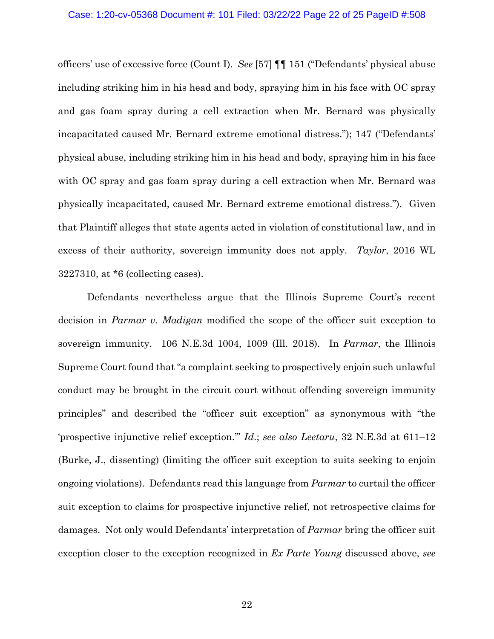officers' use of excessive force (Count I). *See* [57] ¶¶ 151 ("Defendants' physical abuse including striking him in his head and body, spraying him in his face with OC spray and gas foam spray during a cell extraction when Mr. Bernard was physically incapacitated caused Mr. Bernard extreme emotional distress."); 147 ("Defendants' physical abuse, including striking him in his head and body, spraying him in his face with OC spray and gas foam spray during a cell extraction when Mr. Bernard was physically incapacitated, caused Mr. Bernard extreme emotional distress."). Given that Plaintiff alleges that state agents acted in violation of constitutional law, and in excess of their authority, sovereign immunity does not apply. *Taylor*, 2016 WL 3227310, at \*6 (collecting cases).

Defendants nevertheless argue that the Illinois Supreme Court's recent decision in *Parmar v. Madigan* modified the scope of the officer suit exception to sovereign immunity. 106 N.E.3d 1004, 1009 (Ill. 2018). In *Parmar*, the Illinois Supreme Court found that "a complaint seeking to prospectively enjoin such unlawful conduct may be brought in the circuit court without offending sovereign immunity principles" and described the "officer suit exception" as synonymous with "the 'prospective injunctive relief exception.'" *Id*.; *see also Leetaru*, 32 N.E.3d at 611–12 (Burke, J., dissenting) (limiting the officer suit exception to suits seeking to enjoin ongoing violations). Defendants read this language from *Parmar* to curtail the officer suit exception to claims for prospective injunctive relief, not retrospective claims for damages. Not only would Defendants' interpretation of *Parmar* bring the officer suit exception closer to the exception recognized in *Ex Parte Young* discussed above, *see*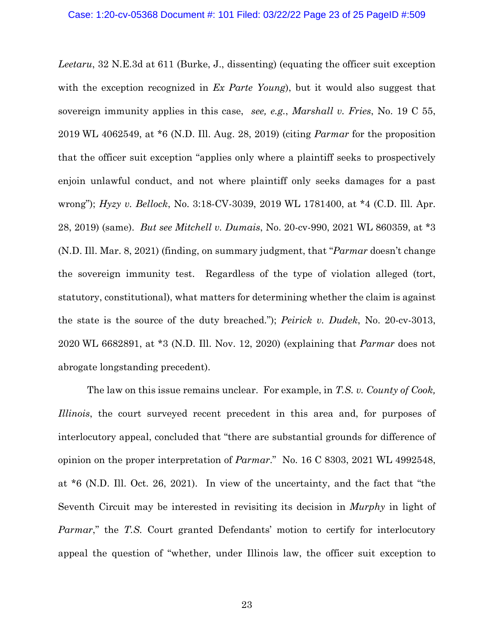*Leetaru*, 32 N.E.3d at 611 (Burke, J., dissenting) (equating the officer suit exception with the exception recognized in *Ex Parte Young*), but it would also suggest that sovereign immunity applies in this case, *see, e.g.*, *Marshall v. Fries*, No. 19 C 55, 2019 WL 4062549, at \*6 (N.D. Ill. Aug. 28, 2019) (citing *Parmar* for the proposition that the officer suit exception "applies only where a plaintiff seeks to prospectively enjoin unlawful conduct, and not where plaintiff only seeks damages for a past wrong"); *Hyzy v. Bellock*, No. 3:18-CV-3039, 2019 WL 1781400, at \*4 (C.D. Ill. Apr. 28, 2019) (same). *But see Mitchell v. Dumais*, No. 20-cv-990, 2021 WL 860359, at \*3 (N.D. Ill. Mar. 8, 2021) (finding, on summary judgment, that "*Parmar* doesn't change the sovereign immunity test. Regardless of the type of violation alleged (tort, statutory, constitutional), what matters for determining whether the claim is against the state is the source of the duty breached."); *Peirick v. Dudek*, No. 20-cv-3013, 2020 WL 6682891, at \*3 (N.D. Ill. Nov. 12, 2020) (explaining that *Parmar* does not abrogate longstanding precedent).

The law on this issue remains unclear. For example, in *T.S. v. County of Cook, Illinois*, the court surveyed recent precedent in this area and, for purposes of interlocutory appeal, concluded that "there are substantial grounds for difference of opinion on the proper interpretation of *Parmar*." No. 16 C 8303, 2021 WL 4992548, at \*6 (N.D. Ill. Oct. 26, 2021). In view of the uncertainty, and the fact that "the Seventh Circuit may be interested in revisiting its decision in *Murphy* in light of *Parmar*," the *T.S.* Court granted Defendants' motion to certify for interlocutory appeal the question of "whether, under Illinois law, the officer suit exception to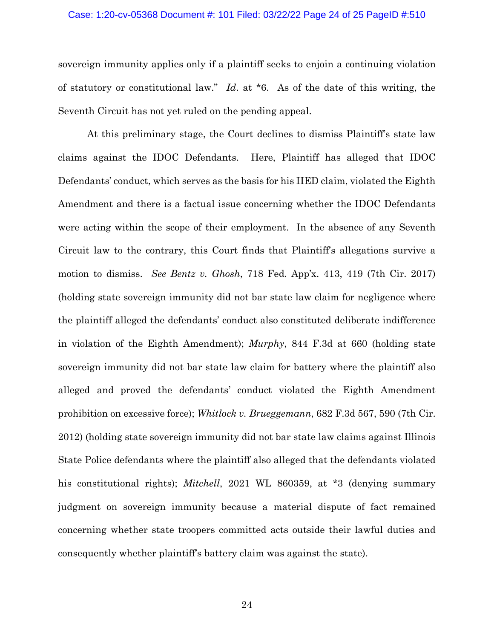### Case: 1:20-cv-05368 Document #: 101 Filed: 03/22/22 Page 24 of 25 PageID #:510

sovereign immunity applies only if a plaintiff seeks to enjoin a continuing violation of statutory or constitutional law." *Id*. at \*6. As of the date of this writing, the Seventh Circuit has not yet ruled on the pending appeal.

At this preliminary stage, the Court declines to dismiss Plaintiff's state law claims against the IDOC Defendants. Here, Plaintiff has alleged that IDOC Defendants' conduct, which serves as the basis for his IIED claim, violated the Eighth Amendment and there is a factual issue concerning whether the IDOC Defendants were acting within the scope of their employment. In the absence of any Seventh Circuit law to the contrary, this Court finds that Plaintiff's allegations survive a motion to dismiss. *See Bentz v. Ghosh*, 718 Fed. App'x. 413, 419 (7th Cir. 2017) (holding state sovereign immunity did not bar state law claim for negligence where the plaintiff alleged the defendants' conduct also constituted deliberate indifference in violation of the Eighth Amendment); *Murphy*, 844 F.3d at 660 (holding state sovereign immunity did not bar state law claim for battery where the plaintiff also alleged and proved the defendants' conduct violated the Eighth Amendment prohibition on excessive force); *Whitlock v. Brueggemann*, 682 F.3d 567, 590 (7th Cir. 2012) (holding state sovereign immunity did not bar state law claims against Illinois State Police defendants where the plaintiff also alleged that the defendants violated his constitutional rights); *Mitchell*, 2021 WL 860359, at \*3 (denying summary judgment on sovereign immunity because a material dispute of fact remained concerning whether state troopers committed acts outside their lawful duties and consequently whether plaintiff's battery claim was against the state).